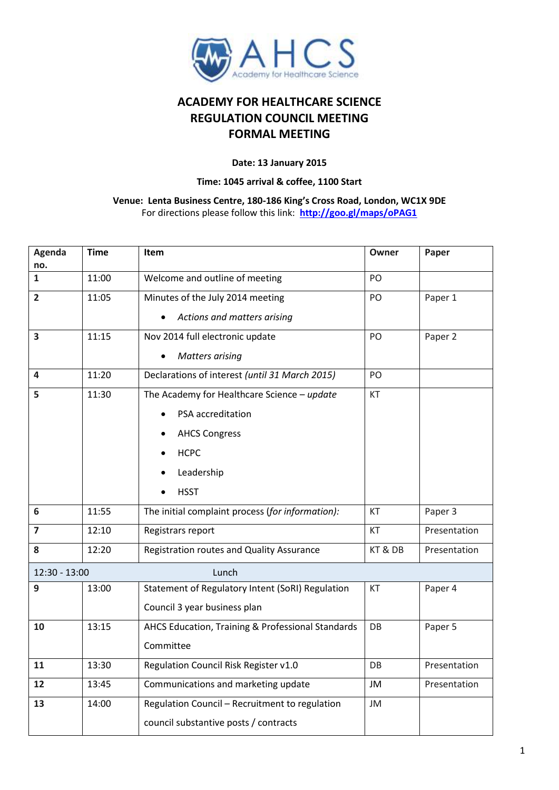

## **ACADEMY FOR HEALTHCARE SCIENCE REGULATION COUNCIL MEETING FORMAL MEETING**

## **Date: 13 January 2015**

## **Time: 1045 arrival & coffee, 1100 Start**

## **Venue: Lenta Business Centre, 180-186 King's Cross Road, London, WC1X 9DE** For directions please follow this link: **<http://goo.gl/maps/oPAG1>**

| Agenda<br>no.          | <b>Time</b> | Item                                              | Owner   | Paper        |  |  |
|------------------------|-------------|---------------------------------------------------|---------|--------------|--|--|
| $\mathbf{1}$           | 11:00       | Welcome and outline of meeting                    | PO      |              |  |  |
| $\overline{2}$         | 11:05       | Minutes of the July 2014 meeting                  | PO      | Paper 1      |  |  |
|                        |             | Actions and matters arising                       |         |              |  |  |
| 3                      | 11:15       | Nov 2014 full electronic update                   | PO      | Paper 2      |  |  |
|                        |             | <b>Matters arising</b>                            |         |              |  |  |
| 4                      | 11:20       | Declarations of interest (until 31 March 2015)    | PO      |              |  |  |
| 5                      | 11:30       | The Academy for Healthcare Science - update       | KT      |              |  |  |
|                        |             | PSA accreditation                                 |         |              |  |  |
|                        |             | <b>AHCS Congress</b>                              |         |              |  |  |
|                        |             | <b>HCPC</b>                                       |         |              |  |  |
|                        |             | Leadership                                        |         |              |  |  |
|                        |             | <b>HSST</b>                                       |         |              |  |  |
| 6                      | 11:55       | The initial complaint process (for information):  | KT      | Paper 3      |  |  |
| $\overline{7}$         | 12:10       | Registrars report                                 | KT      | Presentation |  |  |
| 8                      | 12:20       | Registration routes and Quality Assurance         | KT & DB | Presentation |  |  |
| 12:30 - 13:00<br>Lunch |             |                                                   |         |              |  |  |
| 9                      | 13:00       | Statement of Regulatory Intent (SoRI) Regulation  | KT      | Paper 4      |  |  |
|                        |             | Council 3 year business plan                      |         |              |  |  |
| 10                     | 13:15       | AHCS Education, Training & Professional Standards | DB      | Paper 5      |  |  |
|                        |             | Committee                                         |         |              |  |  |
| 11                     | 13:30       | Regulation Council Risk Register v1.0             | DB      | Presentation |  |  |
| 12                     | 13:45       | Communications and marketing update               | JM      | Presentation |  |  |
| 13                     | 14:00       | Regulation Council - Recruitment to regulation    | JM      |              |  |  |
|                        |             | council substantive posts / contracts             |         |              |  |  |